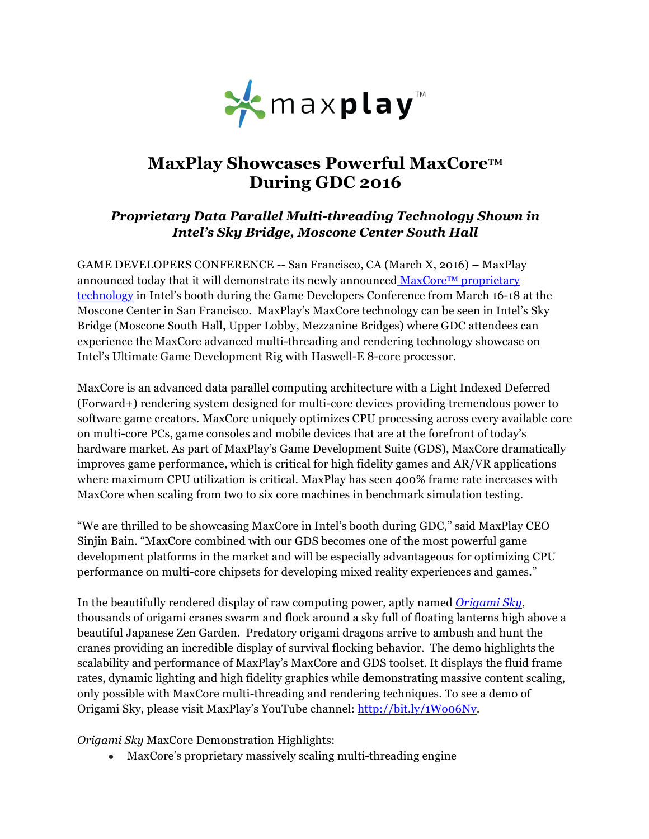

# **MaxPlay Showcases Powerful MaxCore**™ **During GDC 2016**

## *Proprietary Data Parallel Multi-threading Technology Shown in Intel's Sky Bridge, Moscone Center South Hall*

GAME DEVELOPERS CONFERENCE -- San Francisco, CA (March X, 2016) *–* MaxPlay announced today that it will demonstrate its newly announced  $MaxCore^{TM}$  proprietary technology in Intel's booth during the Game Developers Conference from March 16-18 at the Moscone Center in San Francisco. MaxPlay's MaxCore technology can be seen in Intel's Sky Bridge (Moscone South Hall, Upper Lobby, Mezzanine Bridges) where GDC attendees can experience the MaxCore advanced multi-threading and rendering technology showcase on Intel's Ultimate Game Development Rig with Haswell-E 8-core processor.

MaxCore is an advanced data parallel computing architecture with a Light Indexed Deferred (Forward+) rendering system designed for multi-core devices providing tremendous power to software game creators. MaxCore uniquely optimizes CPU processing across every available core on multi-core PCs, game consoles and mobile devices that are at the forefront of today's hardware market. As part of MaxPlay's Game Development Suite (GDS), MaxCore dramatically improves game performance, which is critical for high fidelity games and AR/VR applications where maximum CPU utilization is critical. MaxPlay has seen 400% frame rate increases with MaxCore when scaling from two to six core machines in benchmark simulation testing.

"We are thrilled to be showcasing MaxCore in Intel's booth during GDC," said MaxPlay CEO Sinjin Bain. "MaxCore combined with our GDS becomes one of the most powerful game development platforms in the market and will be especially advantageous for optimizing CPU performance on multi-core chipsets for developing mixed reality experiences and games."

In the beautifully rendered display of raw computing power, aptly named *Origami Sky*, thousands of origami cranes swarm and flock around a sky full of floating lanterns high above a beautiful Japanese Zen Garden. Predatory origami dragons arrive to ambush and hunt the cranes providing an incredible display of survival flocking behavior. The demo highlights the scalability and performance of MaxPlay's MaxCore and GDS toolset. It displays the fluid frame rates, dynamic lighting and high fidelity graphics while demonstrating massive content scaling, only possible with MaxCore multi-threading and rendering techniques. To see a demo of Origami Sky, please visit MaxPlay's YouTube channel: http://bit.ly/1Wo06Nv.

#### *Origami Sky* MaxCore Demonstration Highlights:

• MaxCore's proprietary massively scaling multi-threading engine